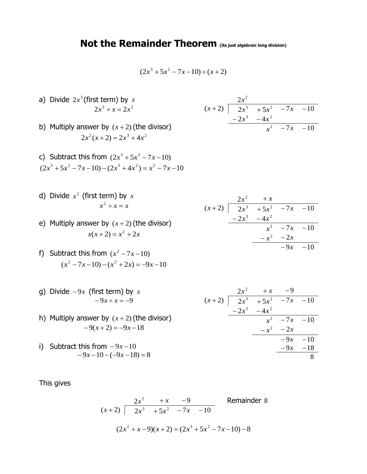## **Not the Remainder Theorem (its just algebraic long division)**

$$
(2x^3 + 5x^2 - 7x - 10) \div (x + 2)
$$

- a) Divide  $2x^3$  (first term) by  $x$  $2x^3 \div x = 2x^2$
- b) Multiply answer by  $(x+2)$  (the divisor)  $2x^2(x+2) = 2x^3 + 4x^2$
- c) Subtract this from  $(2x^3 + 5x^2 7x 10)$  $(2x^3 + 5x^2 - 7x - 10) - (2x^3 + 4x^2) = x^2 - 7x - 10$
- d) Divide  $x^2$  (first term) by  $x$  $x^2 \div x = x$
- e) Multiply answer by  $(x+2)$  (the divisor)  $x(x+2) = x^2 + 2x$
- f) Subtract this from  $(x^2 7x 10)$  $(x^2 - 7x - 10) - (x^2 + 2x) = -9x - 10$
- g) Divide <sup>−</sup> <sup>9</sup>*<sup>x</sup>* (first term) by *x*  $-9x \div x = -9$
- h) Multiply answer by  $(x+2)$  (the divisor)  $-9(x+2) = -9x-18$
- i) Subtract this from <sup>−</sup> <sup>9</sup>*<sup>x</sup>* <sup>−</sup><sup>10</sup> − 9*<sup>x</sup>* <sup>−</sup>10 <sup>−</sup> (−9*<sup>x</sup>* <sup>−</sup>18) <sup>=</sup> 8

This gives

$$
\begin{array}{ccc}\n 2x^2 & +x & -9 \\
(x+2) & \overline{\smash)2x^3 + 5x^2 -7x -10} & \text{Remainder 8} \\
(2x^2 + x - 9)(x+2) = (2x^3 + 5x^2 - 7x - 10) - 8\n \end{array}
$$

 $2x^2 + x$  $(x+2)$  |  $2x^3$  + 5 $x^2$  - 7*x* - 10  $-2x^3 - 4x^2$  $x^2$  −7*x* −10  $-x^2 - 2x$ − 9*<sup>x</sup>* <sup>−</sup>10

 $2x^2$ 

 $(x+2)$  |  $2x^3$  + 5 $x^2$  - 7*x* - 10

*x*<sup>2</sup> −7*x* −10

 $-2x^3 - 4x^2$ 

 $2x^2 + x - 9$  $(x+2)$  |  $2x^3$  + 5 $x^2$  - 7*x* - 10  $-2x^3 - 4x^2$  $x^2$  −7*x* −10  $-x^2$  − 2*x* − 9*<sup>x</sup>* <sup>−</sup>10 − <sup>9</sup>*<sup>x</sup>* <sup>−</sup>188